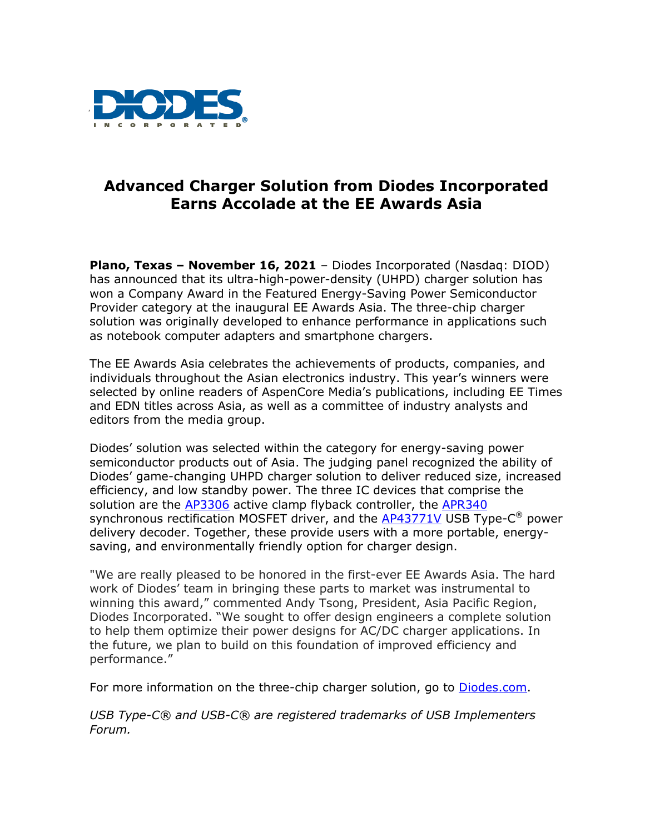

## **Advanced Charger Solution from Diodes Incorporated Earns Accolade at the EE Awards Asia**

**Plano, Texas – November 16, 2021** – Diodes Incorporated (Nasdaq: DIOD) has announced that its ultra-high-power-density (UHPD) charger solution has won a Company Award in the Featured Energy-Saving Power Semiconductor Provider category at the inaugural EE Awards Asia. The three-chip charger solution was originally developed to enhance performance in applications such as notebook computer adapters and smartphone chargers.

The EE Awards Asia celebrates the achievements of products, companies, and individuals throughout the Asian electronics industry. This year's winners were selected by online readers of AspenCore Media's publications, including EE Times and EDN titles across Asia, as well as a committee of industry analysts and editors from the media group.

Diodes' solution was selected within the category for energy-saving power semiconductor products out of Asia. The judging panel recognized the ability of Diodes' game-changing UHPD charger solution to deliver reduced size, increased efficiency, and low standby power. The three IC devices that comprise the solution are the [AP3306](https://www.diodes.com/part/AP3306) active clamp flyback controller, the [APR340](https://www.diodes.com/part/APR340) synchronous rectification MOSFET driver, and the **AP43771V** USB Type-C<sup>®</sup> power delivery decoder. Together, these provide users with a more portable, energysaving, and environmentally friendly option for charger design.

"We are really pleased to be honored in the first-ever EE Awards Asia. The hard work of Diodes' team in bringing these parts to market was instrumental to winning this award," commented Andy Tsong, President, Asia Pacific Region, Diodes Incorporated. "We sought to offer design engineers a complete solution to help them optimize their power designs for AC/DC charger applications. In the future, we plan to build on this foundation of improved efficiency and performance."

For more information on the three-chip charger solution, go to **Diodes.com**.

*USB Type-C® and USB-C® are registered trademarks of USB Implementers Forum.*